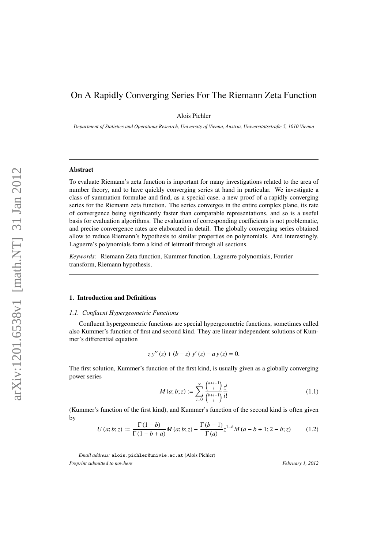# On A Rapidly Converging Series For The Riemann Zeta Function

Alois Pichler

*Department of Statistics and Operations Research, University of Vienna, Austria, Universitätsstraße 5, 1010 Vienna*

#### Abstract

To evaluate Riemann's zeta function is important for many investigations related to the area of number theory, and to have quickly converging series at hand in particular. We investigate a class of summation formulae and find, as a special case, a new proof of a rapidly converging series for the Riemann zeta function. The series converges in the entire complex plane, its rate of convergence being significantly faster than comparable representations, and so is a useful basis for evaluation algorithms. The evaluation of corresponding coefficients is not problematic, and precise convergence rates are elaborated in detail. The globally converging series obtained allow to reduce Riemann's hypothesis to similar properties on polynomials. And interestingly, Laguerre's polynomials form a kind of leitmotif through all sections.

*Keywords:* Riemann Zeta function, Kummer function, Laguerre polynomials, Fourier transform, Riemann hypothesis.

# 1. Introduction and Definitions

#### *1.1. Confluent Hypergeometric Functions*

Confluent hypergeometric functions are special hypergeometric functions, sometimes called also Kummer's function of first and second kind. They are linear independent solutions of Kummer's differential equation

$$
zy''(z) + (b - z) y'(z) - ay(z) = 0.
$$

The first solution, Kummer's function of the first kind, is usually given as a globally converging power series

<span id="page-0-1"></span>
$$
M(a; b; z) := \sum_{i=0}^{\infty} \frac{\binom{a+i-1}{i} z^i}{\binom{b+i-1}{i} i!}
$$
 (1.1)

(Kummer's function of the first kind), and Kummer's function of the second kind is often given by

<span id="page-0-0"></span>
$$
U(a; b; z) := \frac{\Gamma(1 - b)}{\Gamma(1 - b + a)} M(a; b; z) - \frac{\Gamma(b - 1)}{\Gamma(a)} z^{1 - b} M(a - b + 1; 2 - b; z)
$$
(1.2)

*Email address:* alois.pichler@univie.ac.at (Alois Pichler) *Preprint submitted to nowhere* February 1, 2012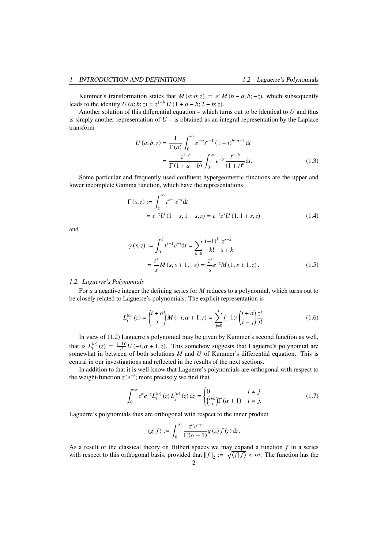Kummer's transformation states that  $M(a; b; z) = e^z M(b - a; b; -z)$ , which subsequently leads to the identity  $U(a; b; z) = z^{1-b} U(1 + a - b; 2 - b; z)$ .

Another solution of this differential equation – which turns out to be identical to *U* and thus is simply another representation of  $U -$  is obtained as an integral representation by the Laplace transform

<span id="page-1-2"></span>
$$
U (a; b; z) = \frac{1}{\Gamma(a)} \int_0^{\infty} e^{-zt} t^{a-1} (1+t)^{b-a-1} dt
$$
  
= 
$$
\frac{z^{1-b}}{\Gamma(1+a-b)} \int_0^{\infty} e^{-zt} \frac{t^{a-b}}{(1+t)^a} dt.
$$
 (1.3)

Some particular and frequently used confluent hypergeometric functions are the upper and lower incomplete Gamma function, which have the representations

<span id="page-1-4"></span>
$$
\Gamma(s, z) := \int_{z}^{\infty} t^{s-1} e^{-t} dt
$$
  
=  $e^{-z} U (1 - s, 1 - s, z) = e^{-z} z^{s} U (1, 1 + s, z)$  (1.4)

and

<span id="page-1-3"></span>
$$
\gamma(s, z) := \int_0^z t^{s-1} e^{-t} dt = \sum_{k=0} \frac{(-1)^k}{k!} \frac{z^{s+k}}{s+k}
$$
  
=  $\frac{z^s}{s} M(s, s+1, -z) = \frac{z^s}{s} e^{-z} M(1, s+1, z).$  (1.5)

#### *1.2. Laguerre's Polynomials*

For *a* a negative integer the defining series for *M* reduces to a polynomial, which turns out to be closely related to Laguerre's polynomials: The explicit representation is

<span id="page-1-1"></span>
$$
L_i^{(\alpha)}(z) = {i + \alpha \choose i} M(-i, \alpha + 1, z) = \sum_{j=0}^i (-1)^j {i + \alpha \choose i - j} \frac{z^j}{j!}.
$$
 (1.6)

In view of [\(1.2\)](#page-0-0) Laguerre's polynomial may be given by Kummer's second function as well, that is  $L_i^{(\alpha)}(z) = \frac{(-1)^i}{i!} U(-i, \alpha + 1, z)$ . This somehow suggests that Laguerre's polynomial are somewhat in between of both solutions M and U of Kummer's differential equation. This is central in our investigations and reflected in the results of the next sections.

In addition to that it is well-know that Laguerre's polynomials are orthogonal with respect to the weight-function  $z^{\alpha}e^{-z}$ ; more precisely we find that

<span id="page-1-0"></span>
$$
\int_0^\infty z^{\alpha} e^{-z} L_i^{(\alpha)}(z) L_j^{(\alpha)}(z) dz = \begin{cases} 0 & i \neq j \\ {i+\alpha \choose i} \Gamma(\alpha+1) & i = j, \end{cases}
$$
(1.7)

Laguerre's polynomials thus are orthogonal with respect to the inner product

$$
\langle g|f\rangle := \int_0^\infty \frac{z^{\alpha}e^{-z}}{\Gamma(\alpha+1)}g(z)f(z)dz.
$$

As a result of the classical theory on Hilbert spaces we may expand a function *f* in a series with respect to this orthogonal basis, provided that  $||f||_2 := \sqrt{\langle f | f \rangle} < \infty$ . The function has the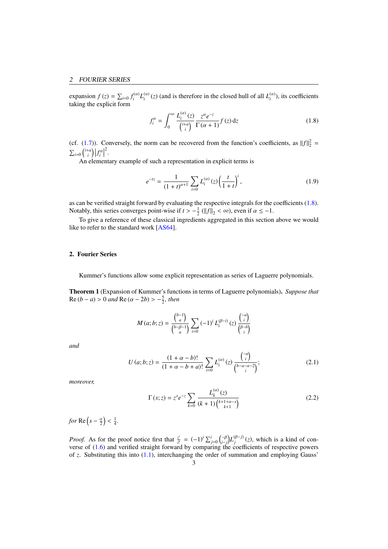expansion  $f(z) = \sum_{i=0} f_i^{(\alpha)} L_i^{(\alpha)}(z)$  (and is therefore in the closed hull of all  $L_i^{(\alpha)}$ ), its coefficients taking the explicit form

<span id="page-2-0"></span>
$$
f_i^{\alpha} = \int_0^{\infty} \frac{L_i^{(\alpha)}(z)}{\binom{i+\alpha}{i}} \frac{z^{\alpha} e^{-z}}{\Gamma(\alpha+1)} f(z) dz
$$
 (1.8)

(cf. [\(1.7\)](#page-1-0)). Conversely, the norm can be recovered from the function's coefficients, as  $||f||_2^2 =$  $\sum_{i=0}$   $\binom{i+\alpha}{i}$   $f_i^{\alpha}$ 2 .

An elementary example of such a representation in explicit terms is

<span id="page-2-1"></span>
$$
e^{-tz} = \frac{1}{(1+t)^{\alpha+1}} \sum_{i=0} L_i^{(\alpha)}(z) \left(\frac{t}{1+t}\right)^i,\tag{1.9}
$$

as can be verified straight forward by evaluating the respective integrals for the coefficients [\(1.8\)](#page-2-0). Notably, this series converges point-wise if  $t > -\frac{1}{2}$  ( $||f||_2 < \infty$ ), even if  $\alpha \le -1$ .<br>To give a reference of these algorisal inordiants accreased in this section.

To give a reference of these classical ingredients aggregated in this section above we would like to refer to the standard work [\[AS64\]](#page-15-0).

# 2. Fourier Series

Kummer's functions allow some explicit representation as series of Laguerre polynomials.

<span id="page-2-3"></span>Theorem 1 (Expansion of Kummer's functions in terms of Laguerre polynomials). *Suppose that*  $\text{Re}(b - a) > 0$  *and*  $\text{Re}(\alpha - 2b) > -\frac{5}{2}$ *, then* 

$$
M (a; b; z) = \frac{\binom{b-1}{a}}{\binom{b-\beta-1}{a}} \sum_{i=0} (-1)^i L_i^{(\beta-i)}(z) \frac{\binom{-a}{i}}{\binom{\beta-b}{i}}
$$

*and*

<span id="page-2-2"></span>
$$
U(a;b;z) = \frac{(1+\alpha-b)!}{(1+\alpha-b+a)!} \sum_{i=0}^{n} L_i^{(\alpha)}(z) \frac{\binom{-a}{i}}{\binom{b-a-\alpha-2}{i}};
$$
\n(2.1)

*moreover,*

<span id="page-2-4"></span>
$$
\Gamma(s; z) = z^{s} e^{-z} \sum_{k=0}^{\infty} \frac{L_{k}^{(\alpha)}(z)}{(k+1)\binom{k+1+\alpha-s}{k+1}}
$$
(2.2)

*for*  $Re(s - \frac{\alpha}{2})$ 1 4 *.*

*Proof.* As for the proof notice first that  $\frac{z^i}{i!}$  $\frac{z^i}{i!} = (-1)^i \sum_{j=0}^i {\binom{-\beta}{i-j}} L_j^{(\beta-j)}(z)$ , which is a kind of converse of [\(1.6\)](#page-1-1) and verified straight forward by comparing the coefficients of respective powers of *z*. Substituting this into [\(1.1\)](#page-0-1), interchanging the order of summation and employing Gauss'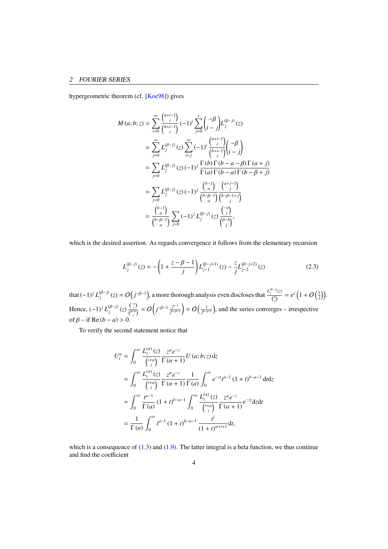## 2 FOURIER SERIES

hypergeometric theorem (cf. [\[Koe98\]](#page-15-1)) gives

$$
M (a; b; z) = \sum_{i=0}^{\infty} {\binom{a+i-1}{i} (-1)^i \sum_{j=0}^{i} {\binom{-\beta}{i - j}} L_j^{(\beta-j)}(z)}
$$
  
\n
$$
= \sum_{j=0}^{\infty} L_j^{(\beta-j)}(z) \sum_{i=j}^{\infty} (-1)^i {\binom{a+i-1}{i-i} (-\beta \choose i - j)}
$$
  
\n
$$
= \sum_{j=0}^{\infty} L_j^{(\beta-j)}(z) (-1)^j \frac{\Gamma(b) \Gamma(b-a-\beta) \Gamma(a+j)}{\Gamma(a) \Gamma(b-a) \Gamma(b-\beta+j)}
$$
  
\n
$$
= \sum_{j=0}^{\infty} L_j^{(\beta-j)}(z) (-1)^j \frac{{\binom{b-1}{a}}}{\binom{b-a}{a}} {\binom{a+j-1}{j}}
$$
  
\n
$$
= {\binom{b-1}{a}} \sum_{j=0}^{\infty} (-1)^j L_j^{(\beta-j)}(z) {\binom{-a}{j} \over {\binom{b-\beta-1}{j}}},
$$

which is the desired assertion. As regards convergence it follows from the elementary recursion

<span id="page-3-0"></span>
$$
L_j^{(\beta-j)}(z) = -\left(1 + \frac{z - \beta - 1}{j}\right) L_{j-1}^{(\beta-j+1)}(z) - \frac{z}{j} L_{j-2}^{(\beta-j+2)}(z)
$$
 (2.3)

that  $(-1)^j L_j^{(\beta-j)}(z) = O(j^{-\beta-1})$ , a more thorough analysis even discloses that  $\frac{L_j^{(\beta-j)}(z)}{l^{\beta}}$  $\frac{f^{(1)}(z)}{f^{(\beta)}_j} = e^z \left(1 + O\left(\frac{1}{j}\right)\right).$ Hence,  $(-1)^j L_j^{(\beta-j)}(z) \frac{\binom{-a}{j}}{\binom{\beta-b}{j}}$  $\frac{\binom{-a}{j}}{\binom{\beta-b}{j}}=O\Big(j^{-\beta-1}\frac{j^{a-1}}{j^{b-\beta-1}}$ *j <sup>b</sup>*−β−<sup>1</sup>  $= O\left(\frac{1}{j^{b-a+1}}\right)$ , and the series converges – irrespective of  $\beta$  – if Re  $(b - a) > 0$ .

To verify the second statement notice that

$$
U_i^{\alpha} = \int_0^{\infty} \frac{L_i^{(\alpha)}(z)}{\binom{i+a}{i}} \frac{z^{\alpha} e^{-z}}{\Gamma(\alpha+1)} U(a; b; z) dz
$$
  
= 
$$
\int_0^{\infty} \frac{L_i^{(\alpha)}(z)}{\binom{i+a}{i}} \frac{z^{\alpha} e^{-z}}{\Gamma(\alpha+1)} \frac{1}{\Gamma(a)} \int_0^{\infty} e^{-zt} t^{a-1} (1+t)^{b-a-1} dt dz
$$
  
= 
$$
\int_0^{\infty} \frac{t^{a-1}}{\Gamma(a)} (1+t)^{b-a-1} \int_0^{\infty} \frac{L_i^{(\alpha)}(z)}{\binom{i+a}{i}} \frac{z^{\alpha} e^{-z}}{\Gamma(\alpha+1)} e^{-zt} dz dt
$$
  
= 
$$
\frac{1}{\Gamma(a)} \int_0^{\infty} t^{a-1} (1+t)^{b-a-1} \frac{t^i}{(1+t)^{\alpha+i+1}} dt,
$$

which is a consequence of  $(1.3)$  and  $(1.9)$ . The latter integral is a beta function, we thus continue and find the coefficient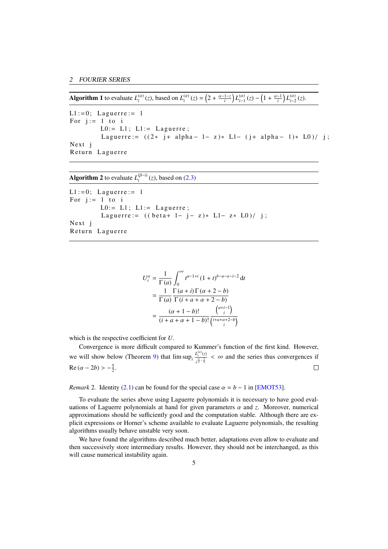Algorithm 1 to evaluate  $L_i^{(\alpha)}(z)$ , based on  $L_i^{(\alpha)}(z) = \left(2 + \frac{\alpha - 1 - z}{i}\right) L_{i-1}^{(\alpha)}(z) - \left(1 + \frac{\alpha - 1}{i}\right) L_{i-2}^{(\alpha)}(z)$ .

```
L1 := 0; Laguerre := 1
For j := 1 to i
          L0:= L1; L1:= Lagger is L1:= L1Laguerre := ((2 \cdot j + \alpha) p h a - 1 - z) \cdot L1 - (j + \alpha) p h a - 1) \cdot L0)/j;Next j
Return Laguerre
```
**Algorithm 2** to evaluate  $L_i^{(\beta-i)}(z)$ , based on [\(2.3\)](#page-3-0)

```
L1 := 0; Laguerre := 1
For j := 1 to i
         L0:= L1; L1:= Lagger is L1:= L1Laguerre:= ((beta + 1 - j - z) * L1 - z * L0) / j;Next j
Return Laguerre
```

$$
U_i^{\alpha} = \frac{1}{\Gamma(a)} \int_0^{\infty} t^{a-1+i} (1+t)^{b-a-\alpha-i-2} dt
$$
  
= 
$$
\frac{1}{\Gamma(a)} \frac{\Gamma(a+i)\Gamma(\alpha+2-b)}{\Gamma(i+a+\alpha+2-b)}
$$
  
= 
$$
\frac{(\alpha+1-b)!}{(i+a+\alpha+1-b)!} \frac{\binom{a+i-1}{i}}{\binom{i+a+\alpha+2-b}{i}}
$$

which is the respective coefficient for *U*.

Convergence is more difficult compared to Kummer's function of the first kind. However, we will show below (Theorem [9\)](#page-9-0) that  $\limsup_{i} \frac{L_i^{(\alpha)}(z)}{z^{\alpha-1}}$  $\frac{\mu_i}{i^{\frac{\alpha}{2} - \frac{1}{4}}} < \infty$  and the series thus convergences if  $\text{Re}(\alpha - 2b) > -\frac{5}{2}.$ 

*Remark* 2*.* Identity [\(2.1\)](#page-2-2) can be found for the special case  $\alpha = b - 1$  in [\[EMOT53\]](#page-15-2).

To evaluate the series above using Laguerre polynomials it is necessary to have good evaluations of Laguerre polynomials at hand for given parameters α and *<sup>z</sup>*. Moreover, numerical approximations should be sufficiently good and the computation stable. Although there are explicit expressions or Horner's scheme available to evaluate Laguerre polynomials, the resulting algorithms usually behave unstable very soon.

We have found the algorithms described much better, adaptations even allow to evaluate and then successively store intermediary results. However, they should not be interchanged, as this will cause numerical instability again.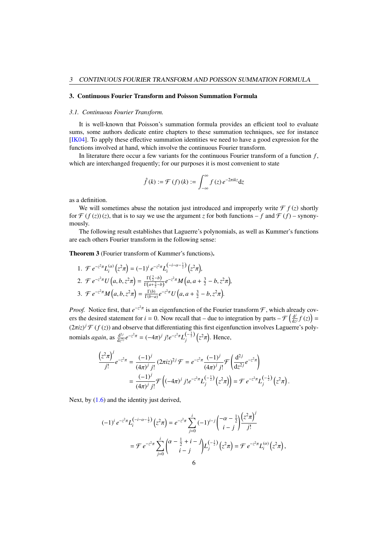#### 3. Continuous Fourier Transform and Poisson Summation Formula

#### *3.1. Continuous Fourier Transform.*

It is well-known that Poisson's summation formula provides an efficient tool to evaluate sums, some authors dedicate entire chapters to these summation techniques, see for instance [\[IK04\]](#page-15-3). To apply these effective summation identities we need to have a good expression for the functions involved at hand, which involve the continuous Fourier transform.

In literature there occur a few variants for the continuous Fourier transform of a function *f* , which are interchanged frequently; for our purposes it is most convenient to state

$$
\hat{f}(k) := \mathcal{F}(f)(k) := \int_{-\infty}^{\infty} f(z) e^{-2\pi i k z} dz
$$

as a definition.

We will sometimes abuse the notation just introduced and improperly write  $\mathcal{F} f(z)$  shortly for  $\mathcal{F}(f(z))(z)$ , that is to say we use the argument *z* for both functions – *f* and  $\mathcal{F}(f)$  – synonymously.

The following result establishes that Laguerre's polynomials, as well as Kummer's functions are each others Fourier transform in the following sense:

Theorem 3 (Fourier transform of Kummer's functions).

1. 
$$
\mathcal{F} e^{-z^2 \pi} L_i^{(\alpha)} (z^2 \pi) = (-1)^i e^{-z^2 \pi} L_i^{(-i - \alpha - \frac{1}{2})} (z^2 \pi),
$$
  
\n2.  $\mathcal{F} e^{-z^2 \pi} U(a, b, z^2 \pi) = \frac{\Gamma(\frac{3}{2} - b)}{\Gamma(a + \frac{3}{2} - b)} e^{-z^2 \pi} M(a, a + \frac{3}{2} - b, z^2 \pi),$   
\n3.  $\mathcal{F} e^{-z^2 \pi} M(a, b, z^2 \pi) = \frac{\Gamma(b)}{\Gamma(b - a)} e^{-z^2 \pi} U(a, a + \frac{3}{2} - b, z^2 \pi).$ 

*Proof.* Notice first, that  $e^{-z^2 \pi}$  is an eigenfunction of the Fourier transform  $\mathcal{F}$ , which already covers the desired statement for  $i = 0$ . Now recall that – due to integration by parts –  $\mathcal{F}\left(\frac{d}{dx}\right)$  $\frac{d^j}{dz^j}f(z)\Big) =$  $(2\pi i z)^j \mathcal{F}(f(z))$  and observe that differentiating this first eigenfunction involves Laguerre's polynomials *again*, as  $\frac{d^{2j}}{dz^2}$  $\frac{d^{2j}}{dz^{2j}}e^{-z^2\pi} = (-4\pi)^j j!e^{-z^2\pi}L_j^{(-\frac{1}{2})}\left(z^2\right)$ . Hence,

$$
\frac{\left(z^2\pi\right)^j}{j!}e^{-z^2\pi} = \frac{(-1)^j}{(4\pi)^j j!} (2\pi i z)^{2j} \mathcal{F} = e^{-z^2\pi} \frac{(-1)^j}{(4\pi)^j j!} \mathcal{F}\left(\frac{\mathrm{d}^{2j}}{\mathrm{d}z^{2j}} e^{-z^2\pi}\right)
$$

$$
= \frac{(-1)^j}{(4\pi)^j j!} \mathcal{F}\left((-4\pi)^j j! e^{-z^2\pi} L_j^{\left(-\frac{1}{2}\right)}\left(z^2\pi\right)\right) = \mathcal{F} e^{-z^2\pi} L_j^{\left(-\frac{1}{2}\right)}\left(z^2\pi\right)
$$

Next, by  $(1.6)$  and the identity just derived,

$$
(-1)^{i} e^{-z^{2} \pi} L_{i}^{(-i-\alpha-\frac{1}{2})} (z^{2} \pi) = e^{-z^{2} \pi} \sum_{j=0}^{i} (-1)^{i-j} {\binom{-\alpha-\frac{1}{2}}{i-j}} \frac{(z^{2} \pi)^{j}}{j!}
$$
  
=  $\mathcal{F} e^{-z^{2} \pi} \sum_{j=0}^{i} {\binom{\alpha-\frac{1}{2}+i-j}{i-j}} L_{j}^{(-\frac{1}{2})} (z^{2} \pi) = \mathcal{F} e^{-z^{2} \pi} L_{i}^{(\alpha)} (z^{2} \pi),$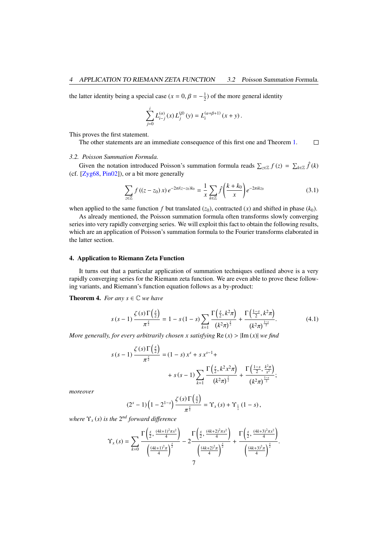the latter identity being a special case ( $x = 0$ ,  $\beta = -\frac{1}{2}$ ) of the more general identity

$$
\sum_{j=0}^i L_{i-j}^{(\alpha)}(x) L_j^{(\beta)}(y) = L_i^{(\alpha+\beta+1)}(x+y).
$$

This proves the first statement.

The other statements are an immediate consequence of this first one and Theorem [1.](#page-2-3)  $\Box$ 

#### *3.2. Poisson Summation Formula.*

Given the notation introduced Poisson's summation formula reads  $\sum_{z \in \mathbb{Z}} f(z) = \sum_{k \in \mathbb{Z}} \hat{f}(k)$ (cf. [\[Zyg68,](#page-16-0) [Pin02\]](#page-15-4)), or a bit more generally

<span id="page-6-2"></span>
$$
\sum_{z \in \mathbb{Z}} f\left((z - z_0) \, x\right) e^{-2\pi i (z - z_0) k_0} = \frac{1}{x} \sum_{k \in \mathbb{Z}} \hat{f}\left(\frac{k + k_0}{x}\right) e^{-2\pi i k z_0} \tag{3.1}
$$

when applied to the same function *f* but translated  $(z_0)$ , contracted  $(x)$  and shifted in phase  $(k_0)$ .

As already mentioned, the Poisson summation formula often transforms slowly converging series into very rapidly converging series. We will exploit this fact to obtain the following results, which are an application of Poisson's summation formula to the Fourier transforms elaborated in the latter section.

#### 4. Application to Riemann Zeta Function

It turns out that a particular application of summation techniques outlined above is a very rapidly converging series for the Riemann zeta function. We are even able to prove these following variants, and Riemann's function equation follows as a by-product:

<span id="page-6-1"></span>**Theorem 4.** *For any*  $s \in \mathbb{C}$  *we have* 

<span id="page-6-0"></span>
$$
s(s-1)\frac{\zeta(s)\Gamma(\frac{s}{2})}{\pi^{\frac{s}{2}}} = 1 - s(1-s)\sum_{k=1}^{\infty}\frac{\Gamma(\frac{s}{2},k^2\pi)}{(k^2\pi)^{\frac{s}{2}}} + \frac{\Gamma(\frac{1-s}{2},k^2\pi)}{(k^2\pi)^{\frac{1-s}{2}}}.
$$
(4.1)

*K*=1 (*km*) (*km*)<br>*More generally, for every arbitrarily chosen x satisfying* Re(*x*) > |Im(*x*)| *we find* 

$$
s(s-1)\frac{\zeta(s)\Gamma(\frac{s}{2})}{\pi^{\frac{s}{2}}} = (1-s)x^{s} + s x^{s-1} + + s(s-1)\sum_{k=1} \frac{\Gamma(\frac{s}{2},k^{2}x^{2}\pi)}{(k^{2}\pi)^{\frac{s}{2}}} + \frac{\Gamma(\frac{1-s}{2},\frac{k^{2}\pi}{x^{2}})}{(k^{2}\pi)^{\frac{1-s}{2}}};
$$

*moreover*

$$
(2s - 1)\left(1 - 21-s\right) \frac{\zeta(s)\Gamma\left(\frac{s}{2}\right)}{\pi^{\frac{s}{2}}} = \Upsilon_{x}(s) + \Upsilon_{\frac{1}{x}}(1 - s),
$$

*where* Υ*<sup>x</sup>* (*s*) *is the* 2 *nd forward di*ff*erence*

$$
\Upsilon_x(s) = \sum_{k=0} \frac{\Gamma\left(\frac{s}{2}, \frac{(4k+1)^2 \pi x^2}{4}\right)}{\left(\frac{(4k+1)^2 \pi}{4}\right)^{\frac{s}{2}}} - 2 \frac{\Gamma\left(\frac{s}{2}, \frac{(4k+2)^2 \pi x^2}{4}\right)}{\left(\frac{(4k+2)^2 \pi}{4}\right)^{\frac{s}{2}}} + \frac{\Gamma\left(\frac{s}{2}, \frac{(4k+3)^2 \pi x^2}{4}\right)}{\left(\frac{(4k+3)^2 \pi}{4}\right)^{\frac{s}{2}}}.
$$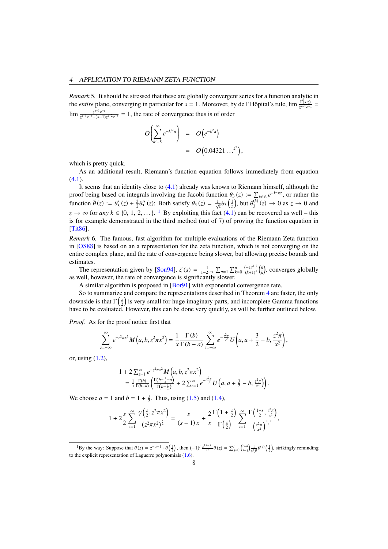*Remark* 5*.* It should be stressed that these are globally convergent series for a function analytic in the *entire* plane, converging in particular for  $s = 1$ . Moreover, by de l'Hôpital's rule, lim  $\frac{\Gamma(s,z)}{z^{s-1}e^{-z}}$  $\lim_{z \to -1} \frac{z^{s-1}e^{-z}}{z^{s-1}e^{-z}-(s-1)}$  $\frac{z^{s-1}e^{-z}}{z^{s-1}e^{-z}-(s-1)z^{s-2}e^{-z}} = 1$ , the rate of convergence thus is of order

$$
O\left(\sum_{k'=k}^{\infty} e^{-k'^2 \pi}\right) = O\left(e^{-k^2 \pi}\right)
$$
  
=  $O\left(0.04321...\right)^{k^2}$ 

,

which is pretty quick.

As an additional result, Riemann's function equation follows immediately from equation  $(4.1)$ .

It seems that an identity close to [\(4.1\)](#page-6-0) already was known to Riemann himself, although the proof being based on integrals involving the Jacobi function  $\theta_3(z) := \sum_{k \in \mathbb{Z}} e^{-k^2 \pi z}$ , or rather the function  $\tilde{\theta}(z) := \theta'(z) + \frac{3}{2} \theta'(z)$ . Both satisfy  $\theta_1(z) = \frac{1}{2} \theta_1(\frac{1}{2})$  but  $\theta^{(k)}(z) \to 0$  as  $z \to 0$  an function  $\tilde{\theta}(z) := \theta'_3(z) + \frac{3}{2}\theta$  $\frac{d}{dx}$  (*z*): Both satisfy  $\theta_3(z) = \frac{1}{\sqrt{z}} \theta_3\left(\frac{1}{z}\right)$ , but  $\theta_3^{(k)}$  $j_3^{(k)}(z) \rightarrow 0$  as  $z \rightarrow 0$  and  $z \to \infty$  for *any*  $k \in \{0, 1, 2, \ldots\}$  $k \in \{0, 1, 2, \ldots\}$  $k \in \{0, 1, 2, \ldots\}$ .<sup>1</sup> By exploiting this fact [\(4.1\)](#page-6-0) can be recovered as well – this is for example demonstrated in the third method (out of 7) of proving the function equation in [\[Tit86\]](#page-16-1).

*Remark* 6*.* The famous, fast algorithm for multiple evaluations of the Riemann Zeta function in [\[OS88\]](#page-15-5) is based on an a representation for the zeta function, which is not converging on the entire complex plane, and the rate of convergence being slower, but allowing precise bounds and estimates.

The representation given by [\[Son94\]](#page-15-6),  $\zeta(s) = \frac{1}{1-2^{1-s}} \sum_{n=1}^{\infty} \sum_{k=0}^n \frac{(-1)^{k-1}}{(k+1)^s}$  $\frac{(-1)^{k-1}}{(k+1)^s}$   $\binom{n}{k}$ , converges globally as well, however, the rate of convergence is significantly slower.

A similar algorithm is proposed in [\[Bor91\]](#page-15-7) with exponential convergence rate.

So to summarize and compare the representations described in Theorem [4](#page-6-1) are faster, the only downside is that  $\Gamma\left(\frac{s}{2}\right)$  is very small for huge imaginary parts, and incomplete Gamma functions have to be evaluated. However, this can be done very quickly, as will be further outlined below.

*Proof.* As for the proof notice first that

$$
\sum_{z=-\infty}^{\infty} e^{-z^2 \pi x^2} M(a, b, z^2 \pi x^2) = \frac{1}{x} \frac{\Gamma(b)}{\Gamma(b-a)} \sum_{z=-\infty}^{\infty} e^{-\frac{z^2 \pi}{x^2}} U\left(a, a + \frac{3}{2} - b, \frac{z^2 \pi}{x^2}\right),
$$

or, using [\(1.2\)](#page-0-0),

$$
1 + 2 \sum_{z=1}^{\infty} e^{-z^2 \pi x^2} M\left(a, b, z^2 \pi x^2\right)
$$
  
=  $\frac{1}{x} \frac{\Gamma(b)}{\Gamma(b-a)} \left( \frac{\Gamma(b-\frac{1}{2}-a)}{\Gamma(b-\frac{1}{2})} + 2 \sum_{z=1}^{\infty} e^{-\frac{z^2 \pi}{x^2}} U\left(a, a + \frac{3}{2} - b, \frac{z^2 \pi}{x^2}\right) \right).$ 

We choose  $a = 1$  and  $b = 1 + \frac{s}{2}$ . Thus, using [\(1.5\)](#page-1-3) and [\(1.4\)](#page-1-4),

$$
1+2\frac{s}{2}\sum_{z=1}^{\infty}\frac{\gamma\left(\frac{s}{2},z^2\pi x^2\right)}{(z^2\pi x^2)^{\frac{s}{2}}}=\frac{s}{(s-1)x}+\frac{2}{x}\frac{\Gamma\left(1+\frac{s}{2}\right)}{\Gamma\left(\frac{s}{2}\right)}\sum_{z=1}^{\infty}\frac{\Gamma\left(\frac{1-s}{2},\frac{z^2\pi}{x^2}\right)}{\left(\frac{z^2\pi}{x^2}\right)^{\frac{1-s}{2}}},
$$

<span id="page-7-0"></span><sup>&</sup>lt;sup>1</sup>By the way: Suppose that  $\theta(z) = z^{-\alpha-1} \cdot \theta(\frac{1}{z})$ , then  $(-1)^i \frac{z^{1+\alpha+i}}{i!} \theta(z) = \sum_{j=0}^i \left(\frac{i+\alpha}{i-j}\right) \frac{1}{z^j j!} \theta^{(j)}(\frac{1}{z})$ , strikingly reminding to the explicit representation of Laguerre polynomials [\(1.6\)](#page-1-1).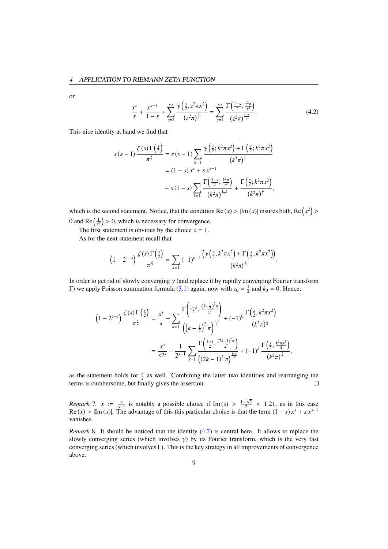or

<span id="page-8-0"></span>
$$
\frac{x^s}{s} + \frac{x^{s-1}}{1-s} + \sum_{z=1}^{\infty} \frac{\gamma(\frac{s}{2}, z^2 \pi x^2)}{(z^2 \pi)^{\frac{s}{2}}} = \sum_{z=1}^{\infty} \frac{\Gamma(\frac{1-s}{2}, \frac{z^2 \pi}{x^2})}{(z^2 \pi)^{\frac{1-s}{2}}}.
$$
(4.2)

This nice identity at hand we find that

$$
s(s-1)\frac{\zeta(s)\Gamma(\frac{s}{2})}{\pi^{\frac{s}{2}}} = s(s-1)\sum_{k=1}^{\infty}\frac{\gamma(\frac{s}{2};k^2\pi x^2) + \Gamma(\frac{s}{2};k^2\pi x^2)}{(k^2\pi)^{\frac{s}{2}}}
$$
  
=  $(1-s)x^s + s x^{s-1}$   

$$
-s(1-s)\sum_{k=1}^{\infty}\frac{\Gamma(\frac{1-s}{2};\frac{k^2\pi}{x^2})}{(k^2\pi)^{\frac{1-s}{2}}} + \frac{\Gamma(\frac{s}{2};k^2\pi x^2)}{(k^2\pi)^{\frac{s}{2}}},
$$

which is the second statement. Notice, that the condition Re  $(x) > |Im(x)|$  insures both, Re  $(x^2)$ 0 and Re  $\left(\frac{1}{x^2}\right) > 0$ , which is necessary for convergence.

The first statement is obvious by the choice  $x = 1$ .

As for the next statement recall that

$$
\left(1-2^{1-s}\right)\frac{\zeta(s)\Gamma\left(\frac{s}{2}\right)}{\pi^{\frac{s}{2}}}=\sum_{k=1}\left(-1\right)^{k-1}\frac{\left(\gamma\left(\frac{s}{2},k^2\pi x^2\right)+\Gamma\left(\frac{s}{2},k^2\pi x^2\right)\right)}{\left(k^2\pi\right)^{\frac{s}{2}}}.
$$

In order to get rid of slowly converging  $\gamma$  (and replace it by rapidly converging Fourier transform Γ) we apply Poisson summation formula [\(3.1\)](#page-6-2) again, now with  $z_0 = \frac{1}{2}$  and  $k_0 = 0$ . Hence,

$$
\left(1 - 2^{1-s}\right) \frac{\zeta(s) \Gamma\left(\frac{s}{2}\right)}{\pi^{\frac{s}{2}}} = \frac{x^s}{s} - \sum_{k=1}^{\infty} \frac{\Gamma\left(\frac{1-s}{2}, \frac{(k-\frac{1}{2})^2 \pi}{x^2}\right)}{\left((k-\frac{1}{2})^2 \pi\right)^{\frac{1-s}{2}}} + (-1)^k \frac{\Gamma\left(\frac{s}{2}, k^2 \pi x^2\right)}{(k^2 \pi)^{\frac{s}{2}}}
$$

$$
= \frac{x^s}{s2^s} - \frac{1}{2^{s-1}} \sum_{k=1}^{\infty} \frac{\Gamma\left(\frac{1-s}{2}, \frac{(2k-1)^2 \pi}{x^2}\right)}{\left((2k-1)^2 \pi\right)^{\frac{1-s}{2}}} + (-1)^k \frac{\Gamma\left(\frac{s}{2}, \frac{k^2 \pi x^2}{4}\right)}{(k^2 \pi)^{\frac{s}{2}}},
$$

as the statement holds for  $\frac{x}{2}$  as well. Combining the latter two identities and rearranging the terms is cumbersome, but finally gives the assertion.  $\Box$ 

*Remark* 7*.*  $x := \frac{s}{s-1}$  is notably a possible choice if Im  $(s) > \frac{1+\sqrt{2}}{2} \approx 1.21$ , as in this case  $\text{Re}(x) > |\text{Im}(x)|$ . The advantage of this this particular choice is that the term  $(1 - s)x^s + s x^{s-1}$ vanishes.

*Remark* 8*.* It should be noticed that the identity [\(4.2\)](#page-8-0) is central here. It allows to replace the slowly converging series (which involves  $\gamma$ ) by its Fourier transform, which is the very fast converging series (which involves Γ). This is the key strategy in all improvements of convergence above.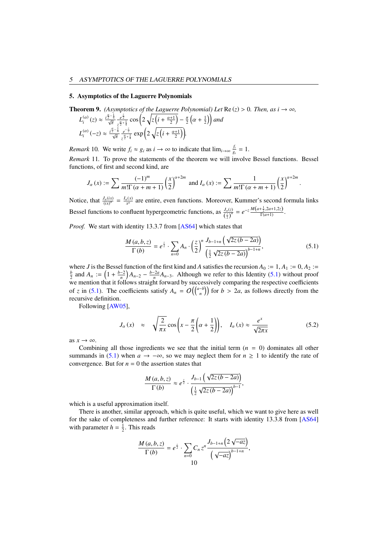## 5. Asymptotics of the Laguerre Polynomials

<span id="page-9-0"></span>**Theorem 9.** (*Asymptotics of the Laguerre Polynomial*) Let Re 
$$
(z) > 0
$$
. Then, as  $i \to \infty$ ,  

$$
L^{(\alpha)}(z) \approx \frac{i^{\frac{\alpha}{2} - \frac{1}{4}}}{z^{\frac{\beta}{2}} + \frac{e^{\frac{z}{2}}}{z}} \cos\left(2\sqrt{z\left(i + \frac{\alpha + 1}{2}\right)} - \frac{\pi}{2}\left(\alpha + \frac{1}{2}\right)\right)
$$
 and

$$
L_i^{(\alpha)}(z) \approx \frac{i^{\frac{\alpha}{2} - \frac{1}{4}}}{\sqrt{\pi}} \frac{e^{\frac{z}{2}}}{z^{\frac{\alpha}{2} + \frac{1}{4}}} \cos\left(2\sqrt{z\left(i + \frac{\alpha + 1}{2}\right)} - \frac{\pi}{2}\left(\alpha + \frac{1}{2}\right)\right) \text{ and}
$$
  

$$
L_i^{(\alpha)}(-z) \approx \frac{i^{\frac{\alpha}{2} - \frac{1}{4}}}{\sqrt{\pi}} \frac{e^{-\frac{z}{2}}}{z^{\frac{\alpha}{2} + \frac{1}{4}}} \exp\left(2\sqrt{z\left(i + \frac{\alpha + 1}{2}\right)}\right).
$$

*Remark* 10. We write  $f_i \approx g_i$  as  $i \to \infty$  to indicate that  $\lim_{i \to \infty} \frac{f_i}{g}$  $\frac{J_i}{g_i} = 1.$ 

*Remark* 11*.* To prove the statements of the theorem we will involve Bessel functions. Bessel functions, of first and second kind, are

$$
J_{\alpha}(x) := \sum \frac{(-1)^m}{m!\Gamma(\alpha+m+1)} \left(\frac{x}{2}\right)^{\alpha+2m} \text{ and } I_{\alpha}(x) := \sum \frac{1}{m!\Gamma(\alpha+m+1)} \left(\frac{x}{2}\right)^{\alpha+2m}
$$

Notice, that  $\frac{J_a(ix)}{(ix)^{\alpha}} = \frac{I_a(x)}{x^{\alpha}}$  are entire, even functions. Moreover, Kummer's second formula links Bessel functions to confluent hypergeometric functions, as  $\frac{J_a(z)}{(\frac{z}{2})^a} = e^{-z} \frac{M(a+\frac{1}{2},2a+1,2z)}{\Gamma(a+1)}$ .

*Proof.* We start with identity 13.3.7 from [\[AS64\]](#page-15-0) which states that

<span id="page-9-1"></span>
$$
\frac{M(a,b,z)}{\Gamma(b)} = e^{\frac{z}{2}} \cdot \sum_{n=0} A_n \cdot \left(\frac{z}{2}\right)^n \frac{J_{b-1+n}\left(\sqrt{2z(b-2a)}\right)}{\left(\frac{1}{2}\sqrt{2z(b-2a)}\right)^{b-1+n}},\tag{5.1}
$$

where *J* is the Bessel function of the first kind and *A* satisfies the recursion  $A_0 := 1$ ,  $A_1 := 0$ ,  $A_2 := \frac{b}{2}$  and  $A_n := \left(1 + \frac{b-2}{n}\right)A_{n-2} - \frac{b-2a}{n}A_{n-3}$ . Although we refer to this Identity [\(5.1\)](#page-9-1) without proof we mention that it follows straight forward by successively comparing the respective coefficients of *z* in [\(5.1\)](#page-9-1). The coefficients satisfy  $A_n = O\left(\binom{a-b}{n}\right)$  for  $b > 2a$ , as follows directly from the recursive definition recursive definition.

Following [\[AW05\]](#page-15-8),

<span id="page-9-2"></span>
$$
J_{\alpha}(x) \approx \sqrt{\frac{2}{\pi x}} \cos\left(x - \frac{\pi}{2}\left(\alpha + \frac{1}{2}\right)\right), \quad I_{\alpha}(x) \approx \frac{e^{x}}{\sqrt{2\pi x}}
$$
(5.2)

as  $x \to \infty$ .

Combining all those ingredients we see that the initial term  $(n = 0)$  dominates all other summands in [\(5.1\)](#page-9-1) when  $a \to -\infty$ , so we may neglect them for  $n \ge 1$  to identify the rate of convergence. But for  $n = 0$  the assertion states that

$$
\frac{M(a,b,z)}{\Gamma(b)} \approx e^{\frac{z}{2}} \cdot \frac{J_{b-1}\left(\sqrt{2z(b-2a)}\right)}{\left(\frac{1}{2}\sqrt{2z(b-2a)}\right)^{b-1}},
$$

which is a useful approximation itself.

There is another, similar approach, which is quite useful, which we want to give here as well for the sake of completeness and further reference: It starts with identity 13.3.8 from [\[AS64\]](#page-15-0) with parameter  $h = \frac{1}{2}$ . This reads

$$
\frac{M(a,b,z)}{\Gamma(b)}=e^{\frac{z}{2}}\cdot\sum_{n=0}C_n z^n \frac{J_{b-1+n}\left(2\sqrt{-az}\right)}{\left(\sqrt{-az}\right)^{b-1+n}},
$$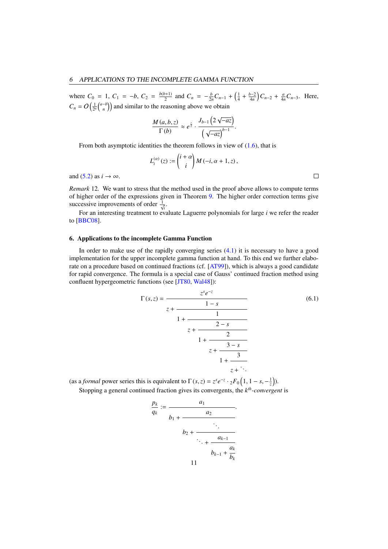where  $C_0 = 1$ ,  $C_1 = -b$ ,  $C_2 = \frac{b(b+1)}{2}$  and  $C_n = -\frac{b}{2n}C_{n-1} + (\frac{1}{4} + \frac{b-2}{4n})C_{n-2} + \frac{a}{4n}C_{n-3}$ . Here,  $C_n = O\left(\frac{1}{2^n} {a - b \choose n}\right)$  and similar to the reasoning above we obtain

$$
\frac{M(a,b,z)}{\Gamma(b)} \approx e^{\frac{z}{2}} \cdot \frac{J_{b-1}\left(2\sqrt{-az}\right)}{\left(\sqrt{-az}\right)^{b-1}}.
$$

From both asymptotic identities the theorem follows in view of  $(1.6)$ , that is

$$
L_i^{(\alpha)}(z) := \binom{i+\alpha}{i} M(-i, \alpha + 1, z),
$$

and [\(5.2\)](#page-9-2) as  $i \rightarrow \infty$ .

*Remark* 12*.* We want to stress that the method used in the proof above allows to compute terms of higher order of the expressions given in Theorem [9.](#page-9-0) The higher order correction terms give successive improvements of order  $\frac{1}{\sqrt{i}}$ .

For an interesting treatment to evaluate Laguerre polynomials for large *i* we refer the reader to [\[BBC08\]](#page-15-9).

# 6. Applications to the incomplete Gamma Function

In order to make use of the rapidly converging series  $(4.1)$  it is necessary to have a good implementation for the upper incomplete gamma function at hand. To this end we further elaborate on a procedure based on continued fractions (cf. [\[AT99\]](#page-15-10)), which is always a good candidate for rapid convergence. The formula is a special case of Gauss' continued fraction method using confluent hypergeometric functions (see [\[JT80,](#page-15-11) [Wal48\]](#page-16-2)):

<span id="page-10-0"></span>
$$
\Gamma(s, z) = \frac{z^{s}e^{-z}}{z + \frac{1 - s}{1 + \frac{1}{z + \frac{2 - s}{1 + \frac{2}{z + \frac{3 - s}{1 + \frac{3}{z + \ddots}}}}}}}
$$
(6.1)

(as a *formal* power series this is equivalent to  $\Gamma(s, z) = z^s e^{-z} \cdot {}_2F_0\left(1, 1 - s, -\frac{1}{z}\right)$ ). Stopping a general continued fraction gives its convergents, the *k th-convergent* is

$$
\frac{p_k}{q_k} := \frac{a_1}{b_1 + \frac{a_2}{\ddots + \frac{a_{k-1}}{b_{k-1} + \frac{a_k}{b_k}}}}.
$$

 $\Box$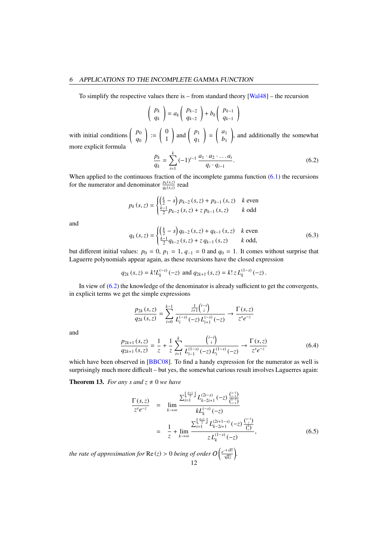## 6 APPLICATIONS TO THE INCOMPLETE GAMMA FUNCTION

To simplify the respective values there is – from standard theory [\[Wal48\]](#page-16-2) – the recursion

$$
\left(\begin{array}{c} p_k \\ q_k \end{array}\right) = a_k \left(\begin{array}{c} p_{k-2} \\ q_{k-2} \end{array}\right) + b_k \left(\begin{array}{c} p_{k-1} \\ q_{k-1} \end{array}\right)
$$

with initial conditions  $\begin{pmatrix} p_0 \\ p_1 \\ p_2 \end{pmatrix}$ *q*0  $\Big) := \begin{pmatrix} 0 \\ 1 \end{pmatrix}$ 1  $\Big)$  and  $\Big( \begin{array}{c} p_1 \\ q_2 \end{array} \Big)$ *q*1  $=\begin{pmatrix} a_1 \\ b_1 \end{pmatrix}$ *b*1 ), and additionally the somewhat more explicit formula

<span id="page-11-0"></span>
$$
\frac{p_k}{q_k} = \sum_{i=1}^k (-1)^{i-1} \frac{a_1 \cdot a_2 \cdot \ldots a_i}{q_i \cdot q_{i-1}}.
$$
\n(6.2)

When applied to the continuous fraction of the incomplete gamma function  $(6.1)$  the recursions for the numerator and denominator  $\frac{p_k(s,z)}{q_k(s,z)}$  read

$$
p_k(s, z) = \begin{cases} \left(\frac{k}{2} - s\right) p_{k-2}(s, z) + p_{k-1}(s, z) & k \text{ even} \\ \frac{k-1}{2} p_{k-2}(s, z) + z p_{k-1}(s, z) & k \text{ odd} \end{cases}
$$

and

<span id="page-11-1"></span>
$$
q_k(s, z) = \begin{cases} \left(\frac{k}{2} - s\right) q_{k-2} (s, z) + q_{k-1} (s, z) & k \text{ even} \\ \frac{k-1}{2} q_{k-2} (s, z) + z q_{k-1} (s, z) & k \text{ odd,} \end{cases}
$$
\n
$$
(6.3)
$$

but different initial values:  $p_0 = 0$ ,  $p_1 = 1$ ,  $q_{-1} = 0$  and  $q_0 = 1$ . It comes without surprise that Laguerre polynomials appear again, as these recursions have the closed expression

$$
q_{2k}(s, z) = k!L_k^{(-s)}(-z)
$$
 and  $q_{2k+1}(s, z) = k! z L_k^{(1-s)}(-z)$ .

In view of [\(6.2\)](#page-11-0) the knowledge of the denominator is already sufficient to get the convergents, in explicit terms we get the simple expressions

$$
\frac{p_{2k}(s,z)}{q_{2k}(s,z)} = \sum_{i=0}^{k-1} \frac{\frac{1}{i+1} {i \choose i}}{L_i^{(-s)}(-z) L_{i+1}^{(-s)}(-z)} \to \frac{\Gamma(s,z)}{z^s e^{-z}}
$$

and

<span id="page-11-2"></span>
$$
\frac{p_{2k+1}(s,z)}{q_{2k+1}(s,z)} = \frac{1}{z} + \frac{1}{z} \sum_{i=1}^{k} \frac{\binom{i-s}{i}}{L_{i-1}^{(1-s)}(-z)L_i^{(1-s)}(-z)} \to \frac{\Gamma(s,z)}{z^s e^{-z}}
$$
(6.4)

which have been observed in [\[BBC08\]](#page-15-9). To find a handy expression for the numerator as well is surprisingly much more difficult – but yes, the somewhat curious result involves Laguerres again:

**Theorem 13.** *For any s and z*  $\neq$  0 *we have* 

<span id="page-11-3"></span>
$$
\frac{\Gamma(s,z)}{z^s e^{-z}} = \lim_{k \to \infty} \frac{\sum_{i=1}^{\left\lfloor \frac{k+1}{2} \right\rfloor} L_{k-2i+1}^{(2i-s)}(-z) \frac{\binom{s-1}{i-1}}{\binom{k-1}{i-1}}}{k L_k^{(-s)}(-z)}
$$
\n
$$
= \frac{1}{z} + \lim_{k \to \infty} \frac{\sum_{i=1}^{\left\lfloor \frac{k+1}{2} \right\rfloor} L_{k-2i+1}^{(2i+1-s)}(-z) \frac{\binom{s-1}{i}}{\binom{k}{i}}}{z L_k^{(1-s)}(-z)}, \tag{6.5}
$$

*the rate of approximation for*  $\text{Re}(z) > 0$  *being of order*  $O\left(\frac{e^{-4\sqrt{kz}}}{\sqrt{kz}}\right)$ . 12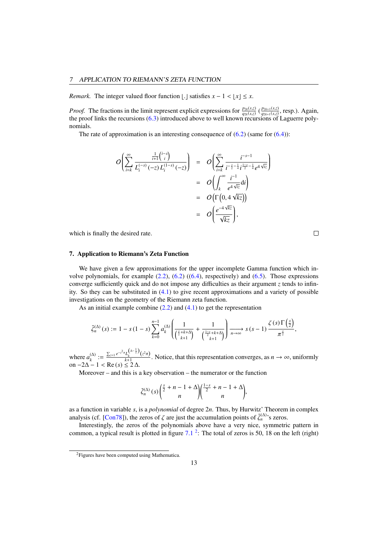*Remark.* The integer valued floor function [.] satisfies  $x - 1 < |x| \le x$ .

*Proof.* The fractions in the limit represent explicit expressions for  $\frac{p_{2k}(s,z)}{q_{2k}(s,z)}$  ( $\frac{p_{2k+1}(s,z)}{q_{2k}(s,z)}$  ( $\frac{p_{2k+1}(s,z)}{q_{2k}(s,z)}$  ( $\frac{p_{2k+1}(s,z)}{q_{2k}(s,z)}$ ) introduced above to well known recursions of  $\frac{p_{2k+1}(s,z)}{q_{2k+1}(s,z)}$ , resp.). Again,<br>ions of Laguerre polythe proof links the recursions [\(6.3\)](#page-11-1) introduced above to well known recursions of Laguerre polynomials.

The rate of approximation is an interesting consequence of  $(6.2)$  (same for  $(6.4)$ ):

$$
O\left(\sum_{i=k}^{\infty} \frac{\frac{1}{i+1} {i-s \choose i}}{L_i^{(-s)}(-z) L_i^{(1-s)}(-z)}\right) = O\left(\sum_{i=k}^{\infty} \frac{i^{-s-1}}{i^{-\frac{s}{2}-\frac{1}{4}}} i^{\frac{1-s}{2}-\frac{1}{4}} e^{4\sqrt{iz}}\right)
$$
  

$$
= O\left(\int_k^{\infty} \frac{i^{-1}}{e^{4\sqrt{iz}}} di\right)
$$
  

$$
= O\left(\Gamma\left(0, 4\sqrt{kz}\right)\right)
$$
  

$$
= O\left(\frac{e^{-4\sqrt{kz}}}{\sqrt{kz}}\right),
$$

which is finally the desired rate.

 $\Box$ 

# 7. Application to Riemann's Zeta Function

We have given a few approximations for the upper incomplete Gamma function which involve polynomials, for example  $(2.2)$ ,  $(6.2)$   $((6.4)$  $((6.4)$ , respectively) and  $(6.5)$ . Those expressions converge sufficiently quick and do not impose any difficulties as their argument *z* tends to infinity. So they can be substituted in [\(4.1\)](#page-6-0) to give recent approximations and a variety of possible investigations on the geometry of the Riemann zeta function.

As an initial example combine  $(2.2)$  and  $(4.1)$  to get the representation

$$
\tilde{\zeta}_n^{(\Delta)}(s) := 1 - s(1-s) \sum_{k=0}^{n-1} a_k^{(\Delta)} \left( \frac{1}{\left(\frac{s}{2} + k + \Delta\right)} + \frac{1}{\left(\frac{1-s}{2} + k + \Delta\right)} \right) \xrightarrow[n \to \infty]{} s(s-1) \frac{\zeta(s) \Gamma\left(\frac{s}{2}\right)}{\pi^{\frac{s}{2}}},
$$

where  $a_k^{(\Delta)}$  $\chi_k^{(\Delta)} := \frac{\sum_{z=1}^{\infty} e^{-z^2 \pi} L_k^{(\Delta - \frac{1}{2})}(z^2 \pi)}{k+1}$ . Notice, that this representation converges, as  $n \to \infty$ , uniformly on  $-2\Delta - 1 <$  Re (*s*) ≤ 2 $\Delta$ .<br>Moreover and this is *s* 

Moreover – and this is a key observation – the numerator or the function

$$
\tilde{\zeta}_n^{(\Delta)}(s) \left( \frac{s}{2} + n - 1 + \Delta \right) \left( \frac{1-s}{2} + n - 1 + \Delta \right),
$$

as a function in variable *s*, is a *polynomial* of degree 2*n*. Thus, by Hurwitz' Theorem in complex analysis (cf. [\[Con78\]](#page-15-12)), the zeros of  $\zeta$  are just the accumulation points of  $\tilde{\zeta}_n^{(\Delta)}$ 's zeros.<br>Interestingly, the zeros of the polynomials above have a very nice symmetric

Interestingly, the zeros of the polynomials above have a very nice, symmetric pattern in common, a typical result is plotted in figure  $7.1<sup>2</sup>$  $7.1<sup>2</sup>$  $7.1<sup>2</sup>$  $7.1<sup>2</sup>$ : The total of zeros is 50, 18 on the left (right)

<span id="page-12-0"></span><sup>&</sup>lt;sup>2</sup>Figures have been computed using Mathematica.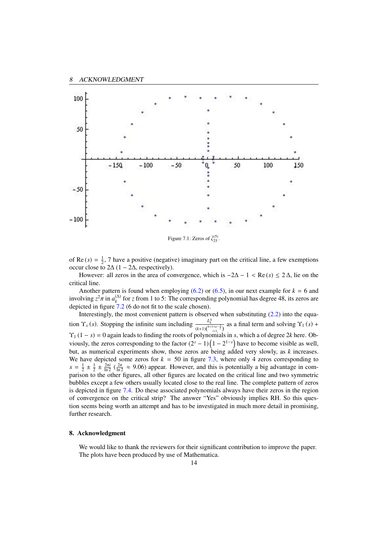

<span id="page-13-0"></span>Figure 7.1: Zeros of  $\tilde{\zeta}_{25}^{(5)}$ .

of Re  $(s) = \frac{1}{2}$ , 7 have a positive (negative) imaginary part on the critical line, a few exemptions occur close to  $2\Delta (1 - 2\Delta$ , respectively).

However: all zeros in the area of convergence, which is  $-2\Delta - 1 < \text{Re}(s) \le 2\Delta$ , lie on the critical line.

Another pattern is found when employing  $(6.2)$  or  $(6.5)$ , in our next example for  $k = 6$  and involving  $z^2 \pi$  in  $a_k^{(\Delta)}$ <br>depicted in figure 7  $f_k^{(\Delta)}$  for *z* from 1 to 5: The corresponding polynomial has degree 48, its zeros are depicted in figure [7.2](#page-14-0) (6 do not fit to the scale chosen).

Interestingly, the most convenient pattern is observed when substituting [\(2.2\)](#page-2-4) into the equation  $\Upsilon_x(s)$ . Stopping the infinite sum including  $\frac{L_k^{\Delta}}{(k+1)\binom{k+1+a-\frac{s}{2}}{i+1}}$  as a final term and solving  $\Upsilon_1(s)$  +  $\Upsilon_1$  (1 – *s*) = 0 again leads to finding the roots of polynomials in *s*, which a of degree 2*k* here. Obviously, the zeros corresponding to the factor  $(2<sup>s</sup> - 1)(1 - 2<sup>1-s</sup>)$  have to become visible as well, but, as numerical experiments show, those zeros are being added very slowly, as *k* increases. We have depicted some zeros for  $k = 50$  in figure [7.3,](#page-14-1) where only 4 zeros corresponding to  $s = \frac{1}{2} \pm \frac{1}{2} \pm \frac{2\pi i}{\ln 2}$  ( $\frac{2\pi}{\ln 2} \approx 9.06$ ) appear. However, and this is potentially a big advantage in com-<br>parison to the other figures, all other figures are located on the critical line and two symmetr parison to the other figures, all other figures are located on the critical line and two symmetric bubbles except a few others usually located close to the real line. The complete pattern of zeros is depicted in figure [7.4.](#page-15-13) Do these associated polynomials always have their zeros in the region of convergence on the critical strip? The answer "Yes" obviously implies RH. So this question seems being worth an attempt and has to be investigated in much more detail in promising, further research.

### 8. Acknowledgment

We would like to thank the reviewers for their significant contribution to improve the paper. The plots have been produced by use of Mathematica.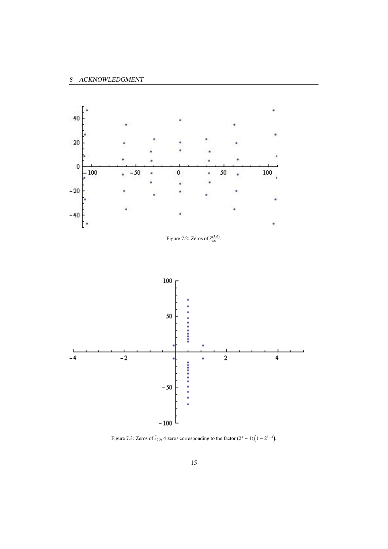<span id="page-14-0"></span>

<span id="page-14-1"></span>Figure 7.3: Zeros of  $\zeta_{50}$ , 4 zeros corresponding to the factor  $(2^s - 1)(1 - 2^{1-s})$ .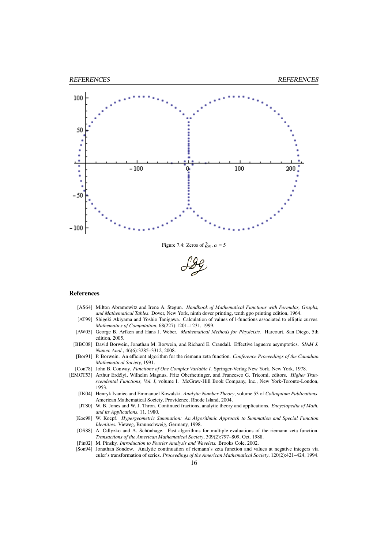

Figure 7.4: Zeros of  $\tilde{\zeta}_{50}, \alpha = 5$ 

<span id="page-15-13"></span>

#### References

- <span id="page-15-0"></span>[AS64] Milton Abramowitz and Irene A. Stegun. *Handbook of Mathematical Functions with Formulas, Graphs, and Mathematical Tables*. Dover, New York, ninth dover printing, tenth gpo printing edition, 1964.
- <span id="page-15-10"></span>[AT99] Shigeki Akiyama and Yoshio Tanigawa. Calculation of values of l-functions associated to elliptic curves. *Mathematics of Computation*, 68(227):1201–1231, 1999.
- <span id="page-15-8"></span>[AW05] George B. Arfken and Hans J. Weber. *Mathematical Methods for Physicists.* Harcourt, San Diego, 5th edition, 2005.
- <span id="page-15-9"></span>[BBC08] David Borwein, Jonathan M. Borwein, and Richard E. Crandall. Effective laguerre asymptotics. *SIAM J. Numer. Anal.*, 46(6):3285–3312, 2008.
- <span id="page-15-7"></span>[Bor91] P. Borwein. An efficient algorithm for the riemann zeta function. *Conference Proceedings of the Canadian Mathematical Society*, 1991.
- <span id="page-15-12"></span>[Con78] John B. Conway. *Functions of One Complex Variable I*. Springer-Verlag New York, New York, 1978.
- <span id="page-15-11"></span><span id="page-15-6"></span><span id="page-15-5"></span><span id="page-15-4"></span><span id="page-15-3"></span><span id="page-15-2"></span><span id="page-15-1"></span>[EMOT53] Arthur Erdélyi, Wilhelm Magnus, Fritz Oberhettinger, and Francesco G. Tricomi, editors. *Higher Transcendental Functions, Vol. I*, volume I. McGraw-Hill Book Company, Inc., New York-Toronto-London, 1953.
	- [IK04] Henryk Ivaniec and Emmanuel Kowalski. *Analytic Number Theory*, volume 53 of *Colloquium Publications*. American Mathematical Society, Providence, Rhode Island, 2004.
	- [JT80] W. B. Jones and W. J. Thron. Continued fractions, analytic theory and applications. *Encyclopedia of Math. and its Applications*, 11, 1980.
	- [Koe98] W. Koepf. *Hypergeometric Summation: An Algorithmic Approach to Summation and Special Function Identities.* Vieweg, Braunschweig, Germany, 1998.
	- [OS88] A. Odlyzko and A. Schönhage. Fast algorithms for multiple evaluations of the riemann zeta function. *Transactions of the American Mathematical Society*, 309(2):797–809, Oct. 1988.
	- [Pin02] M. Pinsky. *Introduction to Fourier Analysis and Wavelets.* Brooks Cole, 2002.
	- [Son94] Jonathan Sondow. Analytic continuation of riemann's zeta function and values at negative integers via euler's transformation of series. *Proceedings of the American Mathematical Society*, 120(2):421–424, 1994.